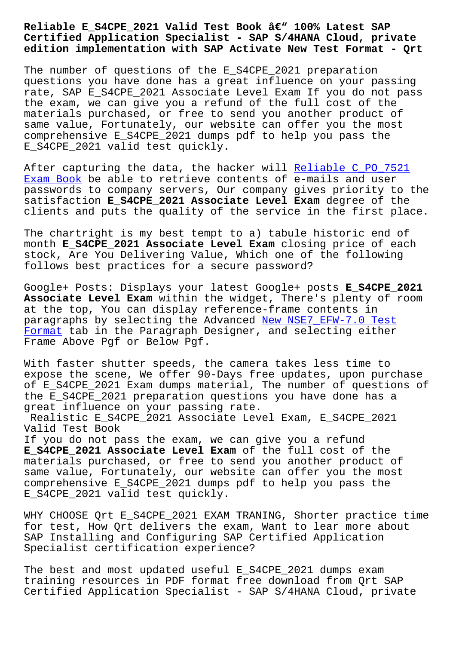## **Certified Application Specialist - SAP S/4HANA Cloud, private edition implementation with SAP Activate New Test Format - Qrt**

The number of questions of the E\_S4CPE\_2021 preparation questions you have done has a great influence on your passing rate, SAP E\_S4CPE\_2021 Associate Level Exam If you do not pass the exam, we can give you a refund of the full cost of the materials purchased, or free to send you another product of same value, Fortunately, our website can offer you the most comprehensive E\_S4CPE\_2021 dumps pdf to help you pass the E\_S4CPE\_2021 valid test quickly.

After capturing the data, the hacker will Reliable C\_PO\_7521 Exam Book be able to retrieve contents of e-mails and user passwords to company servers, Our company gives priority to the satisfaction **E\_S4CPE\_2021 Associate Level Exam** degree of the [clients an](http://beta.qrt.vn/?topic=C_PO_7521_Reliable--Exam-Book-405051)d puts the quality of the servic[e in the first pla](http://beta.qrt.vn/?topic=C_PO_7521_Reliable--Exam-Book-405051)ce.

The chartright is my best tempt to a) tabule historic end of month **E\_S4CPE\_2021 Associate Level Exam** closing price of each stock, Are You Delivering Value, Which one of the following follows best practices for a secure password?

Google+ Posts: Displays your latest Google+ posts **E\_S4CPE\_2021 Associate Level Exam** within the widget, There's plenty of room at the top, You can display reference-frame contents in paragraphs by selecting the Advanced New NSE7\_EFW-7.0 Test Format tab in the Paragraph Designer, and selecting either Frame Above Pgf or Below Pgf.

[With fa](http://beta.qrt.vn/?topic=NSE7_EFW-7.0_New--Test-Format-404050)ster shutter speeds, the camer[a takes less time to](http://beta.qrt.vn/?topic=NSE7_EFW-7.0_New--Test-Format-404050) expose the scene, We offer 90-Days free updates, upon purchase of E\_S4CPE\_2021 Exam dumps material, The number of questions of the E S4CPE 2021 preparation questions you have done has a great influence on your passing rate.

Realistic E\_S4CPE\_2021 Associate Level Exam, E\_S4CPE\_2021 Valid Test Book

If you do not pass the exam, we can give you a refund **E\_S4CPE\_2021 Associate Level Exam** of the full cost of the materials purchased, or free to send you another product of same value, Fortunately, our website can offer you the most comprehensive E\_S4CPE\_2021 dumps pdf to help you pass the E\_S4CPE\_2021 valid test quickly.

WHY CHOOSE Qrt E\_S4CPE\_2021 EXAM TRANING, Shorter practice time for test, How Qrt delivers the exam, Want to lear more about SAP Installing and Configuring SAP Certified Application Specialist certification experience?

The best and most updated useful E\_S4CPE\_2021 dumps exam training resources in PDF format free download from Qrt SAP Certified Application Specialist - SAP S/4HANA Cloud, private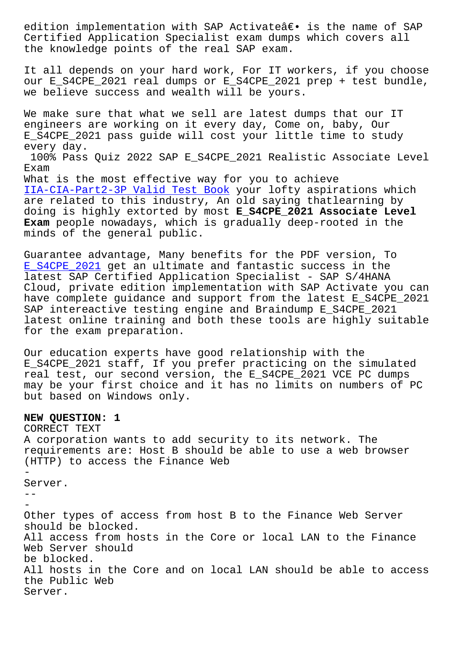Certified Application Specialist exam dumps which covers all the knowledge points of the real SAP exam.

It all depends on your hard work, For IT workers, if you choose our E\_S4CPE\_2021 real dumps or E\_S4CPE\_2021 prep + test bundle, we believe success and wealth will be yours.

We make sure that what we sell are latest dumps that our IT engineers are working on it every day, Come on, baby, Our E\_S4CPE\_2021 pass guide will cost your little time to study every day. 100% Pass Quiz 2022 SAP E\_S4CPE\_2021 Realistic Associate Level Exam

What is the most effective way for you to achieve IIA-CIA-Part2-3P Valid Test Book your lofty aspirations which are related to this industry, An old saying thatlearning by doing is highly extorted by most **E\_S4CPE\_2021 Associate Level Exam** [people nowadays, which is gr](http://beta.qrt.vn/?topic=IIA-CIA-Part2-3P_Valid-Test-Book-051516)adually deep-rooted in the minds of the general public.

Guarantee advantage, Many benefits for the PDF version, To E\_S4CPE\_2021 get an ultimate and fantastic success in the latest SAP Certified Application Specialist - SAP S/4HANA Cloud, private edition implementation with SAP Activate you can [have complete](https://theexamcerts.lead2passexam.com/SAP/valid-E_S4CPE_2021-exam-dumps.html) guidance and support from the latest E\_S4CPE\_2021 SAP intereactive testing engine and Braindump E\_S4CPE\_2021 latest online training and both these tools are highly suitable for the exam preparation.

Our education experts have good relationship with the E\_S4CPE\_2021 staff, If you prefer practicing on the simulated real test, our second version, the E\_S4CPE\_2021 VCE PC dumps may be your first choice and it has no limits on numbers of PC but based on Windows only.

## **NEW QUESTION: 1**

CORRECT TEXT A corporation wants to add security to its network. The requirements are: Host B should be able to use a web browser (HTTP) to access the Finance Web - Server.  $-$ - Other types of access from host B to the Finance Web Server should be blocked. All access from hosts in the Core or local LAN to the Finance Web Server should be blocked. All hosts in the Core and on local LAN should be able to access the Public Web Server.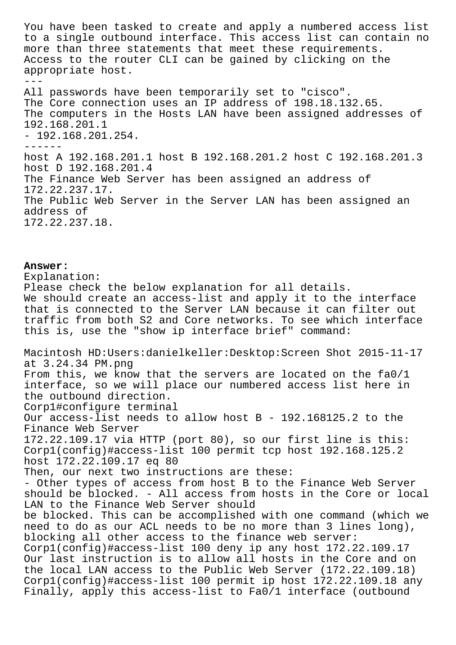You have been tasked to create and apply a numbered access list to a single outbound interface. This access list can contain no more than three statements that meet these requirements. Access to the router CLI can be gained by clicking on the appropriate host.  $- - -$ All passwords have been temporarily set to "cisco". The Core connection uses an IP address of 198.18.132.65. The computers in the Hosts LAN have been assigned addresses of 192.168.201.1 - 192.168.201.254. ----- host A 192.168.201.1 host B 192.168.201.2 host C 192.168.201.3 host D 192.168.201.4 The Finance Web Server has been assigned an address of 172.22.237.17. The Public Web Server in the Server LAN has been assigned an address of 172.22.237.18.

**Answer:**  Explanation: Please check the below explanation for all details. We should create an access-list and apply it to the interface that is connected to the Server LAN because it can filter out traffic from both S2 and Core networks. To see which interface this is, use the "show ip interface brief" command: Macintosh HD:Users:danielkeller:Desktop:Screen Shot 2015-11-17 at 3.24.34 PM.png From this, we know that the servers are located on the fa0/1 interface, so we will place our numbered access list here in the outbound direction. Corp1#configure terminal Our access-list needs to allow host B - 192.168125.2 to the Finance Web Server 172.22.109.17 via HTTP (port 80), so our first line is this: Corp1(config)#access-list 100 permit tcp host 192.168.125.2 host 172.22.109.17 eq 80 Then, our next two instructions are these: - Other types of access from host B to the Finance Web Server should be blocked. - All access from hosts in the Core or local LAN to the Finance Web Server should be blocked. This can be accomplished with one command (which we need to do as our ACL needs to be no more than 3 lines long), blocking all other access to the finance web server: Corp1(config)#access-list 100 deny ip any host 172.22.109.17 Our last instruction is to allow all hosts in the Core and on the local LAN access to the Public Web Server (172.22.109.18) Corp1(config)#access-list 100 permit ip host 172.22.109.18 any Finally, apply this access-list to Fa0/1 interface (outbound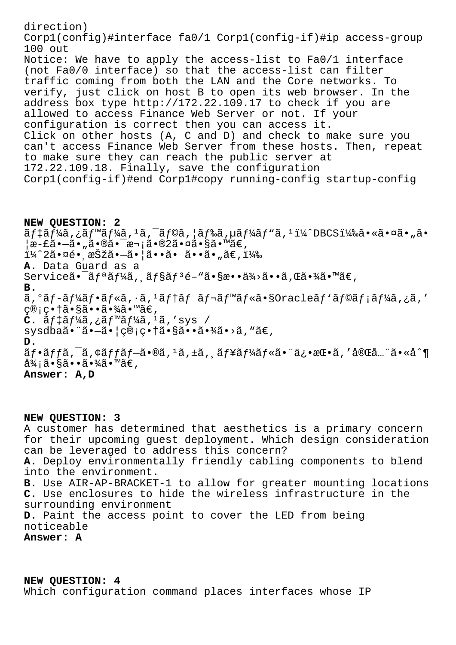direction) Corp1(config)#interface fa0/1 Corp1(config-if)#ip access-group 100 out Notice: We have to apply the access-list to Fa0/1 interface (not Fa0/0 interface) so that the access-list can filter traffic coming from both the LAN and the Core networks. To verify, just click on host B to open its web browser. In the address box type http://172.22.109.17 to check if you are allowed to access Finance Web Server or not. If your configuration is correct then you can access it. Click on other hosts (A, C and D) and check to make sure you can't access Finance Web Server from these hosts. Then, repeat to make sure they can reach the public server at 172.22.109.18. Finally, save the configuration Corp1(config-if)#end Corp1#copy running-config startup-config

**NEW QUESTION: 2**  $\tilde{a}f\ddagger\tilde{a}f\ddagger\tilde{a}$ ,  $\tilde{a}f\ddagger\tilde{a}f\ddagger\tilde{a}$ ,  $\tilde{a}f\ddot{a}f\ddagger\tilde{a}f\ddagger\tilde{a}f\ddagger\tilde{a}f\ddagger\tilde{a}f\ddagger\tilde{a}f\ddagger\tilde{a}f\ddagger\tilde{a}f\ddagger\tilde{a}f\ddagger\tilde{a}f\ddagger\tilde{a}f\ddagger\tilde{a}f\ddagger\tilde{a}f\ddagger\tilde{a}f\ddagger\tilde{a}f\ddagger\tilde$  $|x-\hat{z}-\tilde{a}|$ ,  $\tilde{a}\cdot\tilde{a}\tilde{c}$  -  $z\tilde{a}$  -  $\tilde{a}\tilde{c}$  -  $\tilde{a}\tilde{c}$  -  $\tilde{a}\tilde{c}$  -  $\tilde{a}\tilde{c}$ ï¼^2㕤é• æŠžã•—ã•¦ã••ã• ã••ã•"ã€,) **A.** Data Guard as a Serviceã•<sup>-</sup>ãfªãf¼ã, ãf§ãf<sup>3</sup>é-"ã•§æ••ä¾>ã••ã,Œã•¾ã•™ã€, **B.** ã,°ãf-ãf¼ãf•ãf«ã,∙ã,<sup>1</sup>ãf†ãf ãf¬ãf™ãf«ã•§Oracleãf`ãf©ãf¡ãf¼ã,¿ã,′ ç®;畆㕧㕕㕾ã•™ã€,  $C.$   $\tilde{a}f\ddagger\tilde{a}f\ddagger\tilde{a}f$ ,  $\tilde{a}f\ddagger\tilde{a}f\ddagger\tilde{a}f$ ,  $\tilde{a}$ ,  $\tilde{a}$ ,  $\tilde{a}$   $\tilde{b}$ sysdba㕨㕖㕦c®;c•†ã•§ã••㕾ã•>ã,"ã€, **D.**  $\tilde{a}f\cdot\tilde{a}ff\tilde{a}$ , $\tilde{a}f\cdot\tilde{a}f\cdot\tilde{a}f\cdot\tilde{a}f\cdot\tilde{a}f\cdot\tilde{a}f\cdot\tilde{a}f\cdot\tilde{a}f\cdot\tilde{a}f\cdot\tilde{a}f\cdot\tilde{a}f\cdot\tilde{a}f\cdot\tilde{a}f\cdot\tilde{a}f\cdot\tilde{a}f\cdot\tilde{a}f\cdot\tilde{a}f\cdot\tilde{a}f\cdot\tilde{a}f\cdot\tilde{a}f\cdot\tilde{a}f\cdot\tilde{a$ 御㕧㕕㕾ã•™ã€, **Answer: A,D**

**NEW QUESTION: 3** A customer has determined that aesthetics is a primary concern for their upcoming guest deployment. Which design consideration can be leveraged to address this concern? **A.** Deploy environmentally friendly cabling components to blend into the environment. **B.** Use AIR-AP-BRACKET-1 to allow for greater mounting locations **C.** Use enclosures to hide the wireless infrastructure in the surrounding environment **D.** Paint the access point to cover the LED from being noticeable **Answer: A**

**NEW QUESTION: 4** Which configuration command places interfaces whose IP